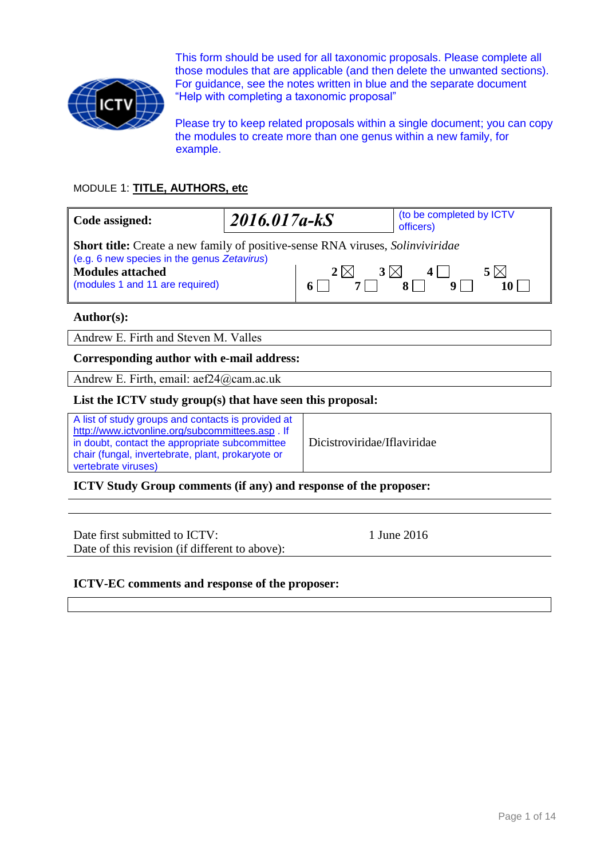

This form should be used for all taxonomic proposals. Please complete all those modules that are applicable (and then delete the unwanted sections). For guidance, see the notes written in blue and the separate document "Help with completing a taxonomic proposal"

Please try to keep related proposals within a single document; you can copy the modules to create more than one genus within a new family, for example.

# MODULE 1: **TITLE, AUTHORS, etc**

| Code assigned:                                                                                                                                                                                            | $2016.017a-kS$ |                         | (to be completed by ICTV<br>officers) |
|-----------------------------------------------------------------------------------------------------------------------------------------------------------------------------------------------------------|----------------|-------------------------|---------------------------------------|
| <b>Short title:</b> Create a new family of positive-sense RNA viruses, <i>Solinviviridae</i><br>(e.g. 6 new species in the genus Zetavirus)<br><b>Modules attached</b><br>(modules 1 and 11 are required) |                | $3\times$<br>$2 \times$ | $5 \times$<br>4                       |
| $\Delta$ uthor(c).                                                                                                                                                                                        |                |                         |                                       |

**Author(s):**

Andrew E. Firth and Steven M. Valles

#### **Corresponding author with e-mail address:**

Andrew E. Firth, email: aef24@cam.ac.uk

#### **List the ICTV study group(s) that have seen this proposal:**

A list of study groups and contacts is provided at <http://www.ictvonline.org/subcommittees.asp> . If in doubt, contact the appropriate subcommittee chair (fungal, invertebrate, plant, prokaryote or vertebrate viruses)

Dicistroviridae/Iflaviridae

**ICTV Study Group comments (if any) and response of the proposer:**

Date first submitted to ICTV: 1 June 2016 Date of this revision (if different to above):

## **ICTV-EC comments and response of the proposer:**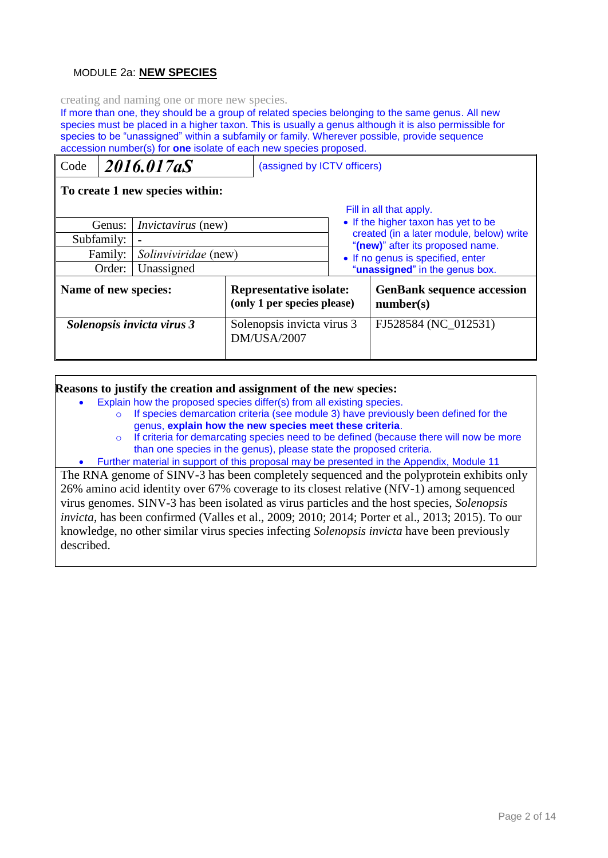## MODULE 2a: **NEW SPECIES**

creating and naming one or more new species.

If more than one, they should be a group of related species belonging to the same genus. All new species must be placed in a higher taxon. This is usually a genus although it is also permissible for species to be "unassigned" within a subfamily or family. Wherever possible, provide sequence accession number(s) for **one** isolate of each new species proposed.

| Code                                |                                 | 2016.017aS                                                    | (assigned by ICTV officers)       |                                                                                                            |  |
|-------------------------------------|---------------------------------|---------------------------------------------------------------|-----------------------------------|------------------------------------------------------------------------------------------------------------|--|
|                                     | To create 1 new species within: |                                                               |                                   |                                                                                                            |  |
| <i>Invictavirus</i> (new)<br>Genus: |                                 |                                                               |                                   | Fill in all that apply.<br>• If the higher taxon has yet to be<br>created (in a later module, below) write |  |
|                                     | Subfamily:                      |                                                               |                                   | "(new)" after its proposed name.                                                                           |  |
|                                     | Solinviviridae (new)<br>Family: |                                                               | • If no genus is specified, enter |                                                                                                            |  |
|                                     | Order:                          | Unassigned                                                    |                                   | "unassigned" in the genus box.                                                                             |  |
| Name of new species:                |                                 | <b>Representative isolate:</b><br>(only 1 per species please) |                                   | <b>GenBank sequence accession</b><br>number(s)                                                             |  |
| Solenopsis invicta virus 3          |                                 | Solenopsis invicta virus 3<br><b>DM/USA/2007</b>              |                                   | FJ528584 (NC 012531)                                                                                       |  |

#### **Reasons to justify the creation and assignment of the new species:**

- Explain how the proposed species differ(s) from all existing species.
	- o If species demarcation criteria (see module 3) have previously been defined for the genus, **explain how the new species meet these criteria**.
	- $\circ$  If criteria for demarcating species need to be defined (because there will now be more than one species in the genus), please state the proposed criteria.
- Further material in support of this proposal may be presented in the Appendix, Module 11

The RNA genome of SINV-3 has been completely sequenced and the polyprotein exhibits only 26% amino acid identity over 67% coverage to its closest relative (NfV-1) among sequenced virus genomes. SINV-3 has been isolated as virus particles and the host species, *Solenopsis invicta*, has been confirmed (Valles et al., 2009; 2010; 2014; Porter et al., 2013; 2015). To our knowledge, no other similar virus species infecting *Solenopsis invicta* have been previously described.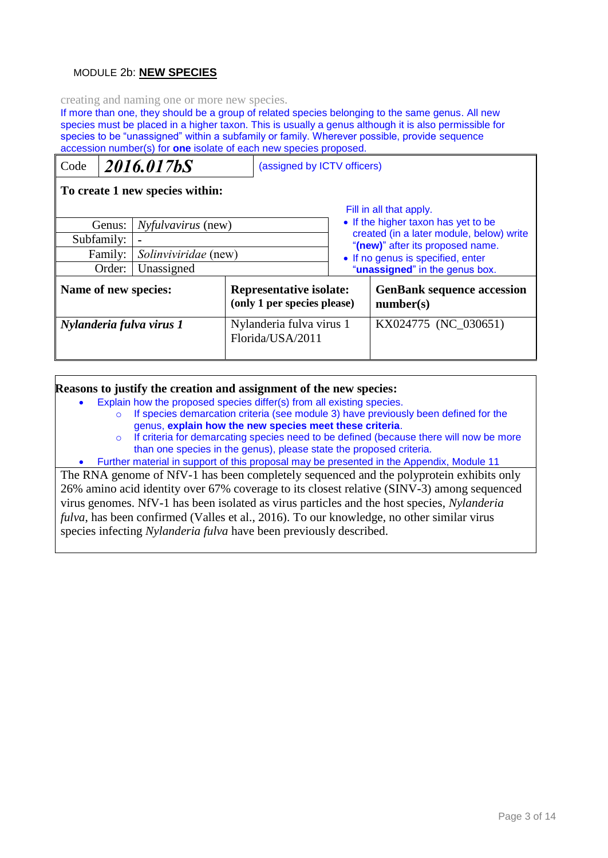## MODULE 2b: **NEW SPECIES**

creating and naming one or more new species.

If more than one, they should be a group of related species belonging to the same genus. All new species must be placed in a higher taxon. This is usually a genus although it is also permissible for species to be "unassigned" within a subfamily or family. Wherever possible, provide sequence accession number(s) for **one** isolate of each new species proposed.

| Code                                                                                                                           |  | 2016.017bS                                                    | (assigned by ICTV officers)                      |                                                |                                                                                                                                                                                                                       |
|--------------------------------------------------------------------------------------------------------------------------------|--|---------------------------------------------------------------|--------------------------------------------------|------------------------------------------------|-----------------------------------------------------------------------------------------------------------------------------------------------------------------------------------------------------------------------|
| To create 1 new species within:                                                                                                |  |                                                               |                                                  |                                                |                                                                                                                                                                                                                       |
| <i>Nyfulvavirus</i> (new)<br>Genus:<br>Subfamily:<br>$\blacksquare$<br>Solinviviridae (new)<br>Family:<br>Unassigned<br>Order: |  |                                                               |                                                  |                                                | Fill in all that apply.<br>• If the higher taxon has yet to be<br>created (in a later module, below) write<br>"(new)" after its proposed name.<br>• If no genus is specified, enter<br>"unassigned" in the genus box. |
| Name of new species:                                                                                                           |  | <b>Representative isolate:</b><br>(only 1 per species please) |                                                  | <b>GenBank sequence accession</b><br>number(s) |                                                                                                                                                                                                                       |
| Nylanderia fulva virus 1                                                                                                       |  | Florida/USA/2011                                              | KX024775 (NC_030651)<br>Nylanderia fulva virus 1 |                                                |                                                                                                                                                                                                                       |

#### **Reasons to justify the creation and assignment of the new species:**

- Explain how the proposed species differ(s) from all existing species.
	- o If species demarcation criteria (see module 3) have previously been defined for the genus, **explain how the new species meet these criteria**.
	- o If criteria for demarcating species need to be defined (because there will now be more than one species in the genus), please state the proposed criteria.
- Further material in support of this proposal may be presented in the Appendix, Module 11

The RNA genome of NfV-1 has been completely sequenced and the polyprotein exhibits only 26% amino acid identity over 67% coverage to its closest relative (SINV-3) among sequenced virus genomes. NfV-1 has been isolated as virus particles and the host species, *Nylanderia fulva*, has been confirmed (Valles et al., 2016). To our knowledge, no other similar virus species infecting *Nylanderia fulva* have been previously described.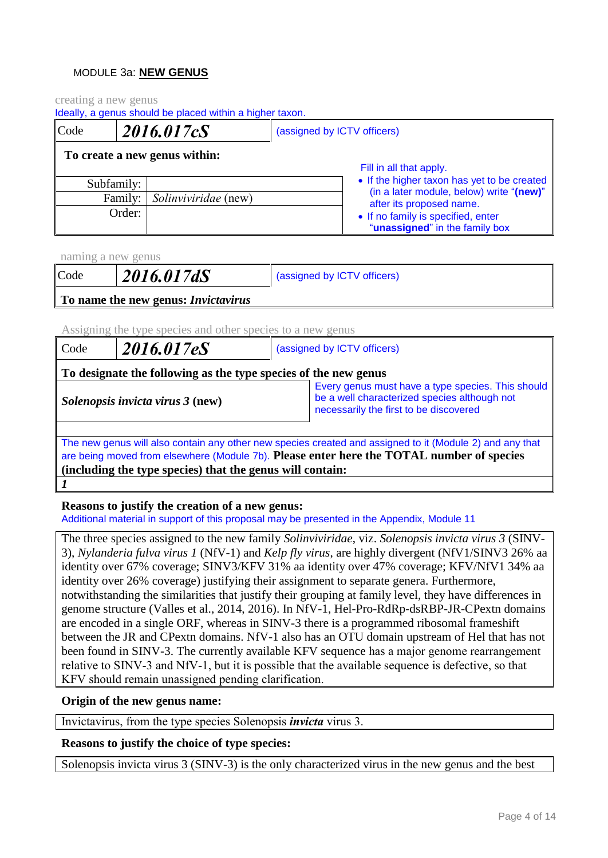## MODULE 3a: **NEW GENUS**

creating a new genus

Ideally, a genus should be placed within a higher taxon.

| Code |            | 2016.017cS                    | (assigned by ICTV officers) |                                                                      |
|------|------------|-------------------------------|-----------------------------|----------------------------------------------------------------------|
|      |            | To create a new genus within: |                             | Fill in all that apply.                                              |
|      | Subfamily: |                               |                             | • If the higher taxon has yet to be created                          |
|      | Family:    | <i>Solinviviridae</i> (new)   |                             | (in a later module, below) write "(new)"<br>after its proposed name. |
|      | Order:     |                               |                             | • If no family is specified, enter<br>"unassigned" in the family box |

naming a new genus

| Code | 2016.017dS                                 | (assigned by ICTV officers) |
|------|--------------------------------------------|-----------------------------|
|      | To name the new genus: <i>Invictavirus</i> |                             |

Assigning the type species and other species to a new genus

| Code                                                                                                                                                                                                                                                               | 2016.017eS                                                                                                                                                                      | (assigned by ICTV officers) |  |  |
|--------------------------------------------------------------------------------------------------------------------------------------------------------------------------------------------------------------------------------------------------------------------|---------------------------------------------------------------------------------------------------------------------------------------------------------------------------------|-----------------------------|--|--|
|                                                                                                                                                                                                                                                                    | To designate the following as the type species of the new genus                                                                                                                 |                             |  |  |
|                                                                                                                                                                                                                                                                    | Every genus must have a type species. This should<br>be a well characterized species although not<br>Solenopsis invicta virus 3 (new)<br>necessarily the first to be discovered |                             |  |  |
| The new genus will also contain any other new species created and assigned to it (Module 2) and any that<br>are being moved from elsewhere (Module 7b). Please enter here the TOTAL number of species<br>(including the type species) that the genus will contain: |                                                                                                                                                                                 |                             |  |  |
|                                                                                                                                                                                                                                                                    |                                                                                                                                                                                 |                             |  |  |

## **Reasons to justify the creation of a new genus:**

Additional material in support of this proposal may be presented in the Appendix, Module 11

The three species assigned to the new family *Solinviviridae*, viz. *Solenopsis invicta virus 3* (SINV-3), *Nylanderia fulva virus 1* (NfV-1) and *Kelp fly virus*, are highly divergent (NfV1/SINV3 26% aa identity over 67% coverage; SINV3/KFV 31% aa identity over 47% coverage; KFV/NfV1 34% aa identity over 26% coverage) justifying their assignment to separate genera. Furthermore, notwithstanding the similarities that justify their grouping at family level, they have differences in genome structure (Valles et al., 2014, 2016). In NfV-1, Hel-Pro-RdRp-dsRBP-JR-CPextn domains are encoded in a single ORF, whereas in SINV-3 there is a programmed ribosomal frameshift between the JR and CPextn domains. NfV-1 also has an OTU domain upstream of Hel that has not been found in SINV-3. The currently available KFV sequence has a major genome rearrangement relative to SINV-3 and NfV-1, but it is possible that the available sequence is defective, so that KFV should remain unassigned pending clarification.

#### **Origin of the new genus name:**

Invictavirus, from the type species Solenopsis *invicta* virus 3.

## **Reasons to justify the choice of type species:**

Solenopsis invicta virus 3 (SINV-3) is the only characterized virus in the new genus and the best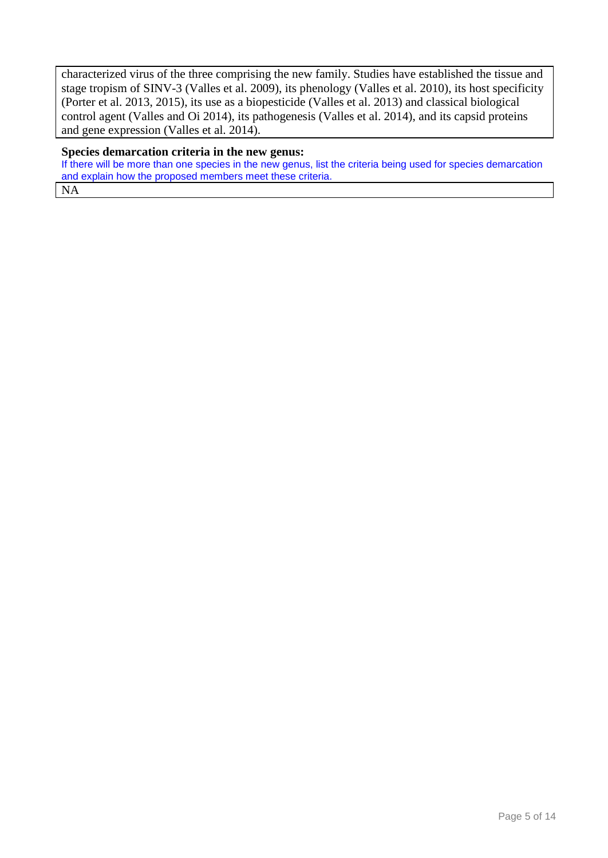characterized virus of the three comprising the new family. Studies have established the tissue and stage tropism of SINV-3 (Valles et al. 2009), its phenology (Valles et al. 2010), its host specificity (Porter et al. 2013, 2015), its use as a biopesticide (Valles et al. 2013) and classical biological control agent (Valles and Oi 2014), its pathogenesis (Valles et al. 2014), and its capsid proteins and gene expression (Valles et al. 2014).

#### **Species demarcation criteria in the new genus:**

If there will be more than one species in the new genus, list the criteria being used for species demarcation and explain how the proposed members meet these criteria. NA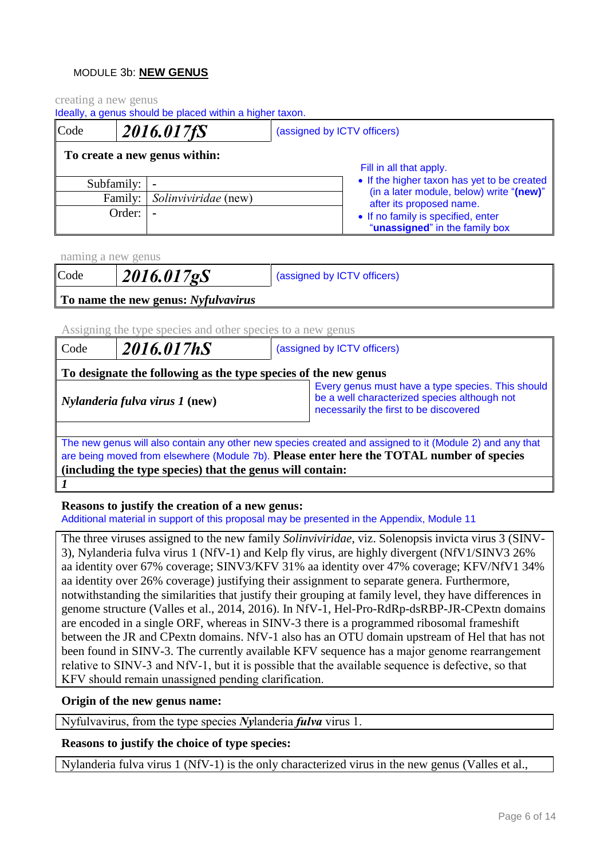## MODULE 3b: **NEW GENUS**

creating a new genus

| Code | 2016.017fS |                               | (assigned by ICTV officers) |                                                                      |
|------|------------|-------------------------------|-----------------------------|----------------------------------------------------------------------|
|      |            | To create a new genus within: |                             | Fill in all that apply.                                              |
|      | Subfamily: | $\overline{\phantom{a}}$      |                             | • If the higher taxon has yet to be created                          |
|      | Family:    | <i>Solinviviridae</i> (new)   |                             | (in a later module, below) write "(new)"<br>after its proposed name. |
|      | Order:     | $\tilde{\phantom{a}}$         |                             | • If no family is specified, enter<br>"unassigned" in the family box |

naming a new genus

*1*

| Code | 2016.017gS                          | (assigned by ICTV officers) |
|------|-------------------------------------|-----------------------------|
|      | To name the new genus: Nyfulvavirus |                             |

Assigning the type species and other species to a new genus

| Code                                                                                                                                                                                                                                                               | 2016.017hS<br>(assigned by ICTV officers)                       |                                                                                                   |  |  |
|--------------------------------------------------------------------------------------------------------------------------------------------------------------------------------------------------------------------------------------------------------------------|-----------------------------------------------------------------|---------------------------------------------------------------------------------------------------|--|--|
|                                                                                                                                                                                                                                                                    | To designate the following as the type species of the new genus |                                                                                                   |  |  |
| $\vert$ <i>Nylanderia fulva virus 1</i> (new)<br>necessarily the first to be discovered                                                                                                                                                                            |                                                                 | Every genus must have a type species. This should<br>be a well characterized species although not |  |  |
| The new genus will also contain any other new species created and assigned to it (Module 2) and any that<br>are being moved from elsewhere (Module 7b). Please enter here the TOTAL number of species<br>(including the type species) that the genus will contain: |                                                                 |                                                                                                   |  |  |
|                                                                                                                                                                                                                                                                    |                                                                 |                                                                                                   |  |  |

**Reasons to justify the creation of a new genus:**

Additional material in support of this proposal may be presented in the Appendix, Module 11

The three viruses assigned to the new family *Solinviviridae*, viz. Solenopsis invicta virus 3 (SINV-3), Nylanderia fulva virus 1 (NfV-1) and Kelp fly virus, are highly divergent (NfV1/SINV3 26% aa identity over 67% coverage; SINV3/KFV 31% aa identity over 47% coverage; KFV/NfV1 34% aa identity over 26% coverage) justifying their assignment to separate genera. Furthermore, notwithstanding the similarities that justify their grouping at family level, they have differences in genome structure (Valles et al., 2014, 2016). In NfV-1, Hel-Pro-RdRp-dsRBP-JR-CPextn domains are encoded in a single ORF, whereas in SINV-3 there is a programmed ribosomal frameshift between the JR and CPextn domains. NfV-1 also has an OTU domain upstream of Hel that has not been found in SINV-3. The currently available KFV sequence has a major genome rearrangement relative to SINV-3 and NfV-1, but it is possible that the available sequence is defective, so that KFV should remain unassigned pending clarification.

## **Origin of the new genus name:**

Nyfulvavirus, from the type species *Ny*landeria *fulva* virus 1.

## **Reasons to justify the choice of type species:**

Nylanderia fulva virus 1 (NfV-1) is the only characterized virus in the new genus (Valles et al.,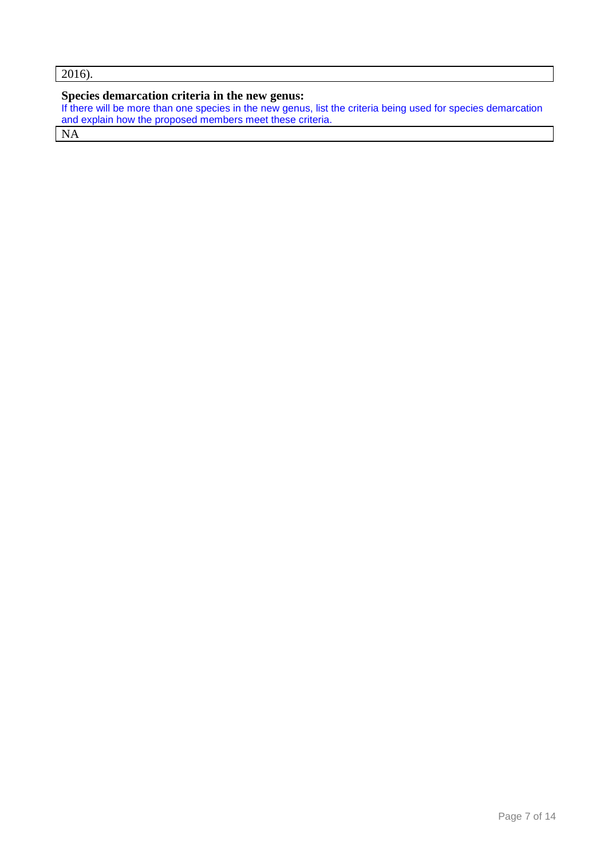```
2016).
```
## **Species demarcation criteria in the new genus:**

If there will be more than one species in the new genus, list the criteria being used for species demarcation and explain how the proposed members meet these criteria.

NA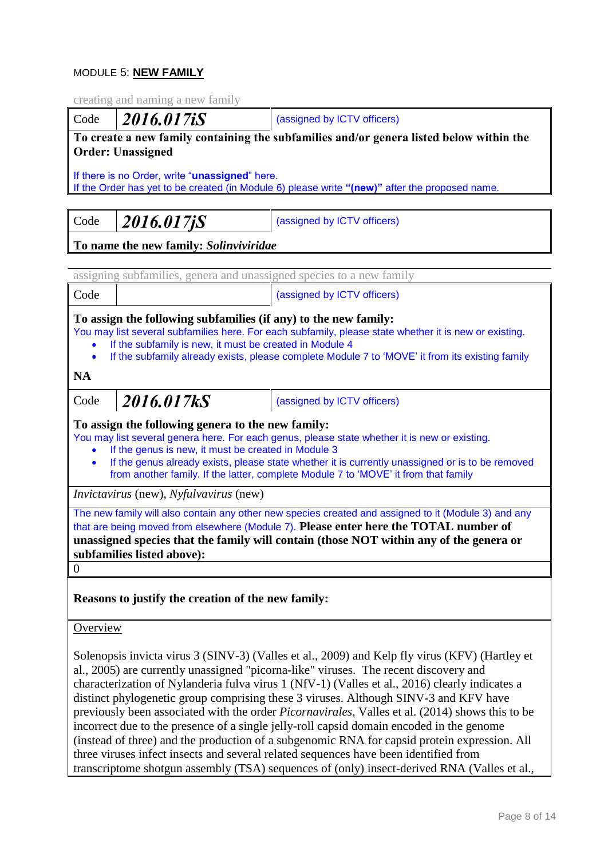## MODULE 5: **NEW FAMILY**

creating and naming a new family Code **2016.017iS** (assigned by ICTV officers) **To create a new family containing the subfamilies and/or genera listed below within the Order: Unassigned** If there is no Order, write "**unassigned**" here. If the Order has yet to be created (in Module 6) please write **"(new)"** after the proposed name. Code **2016.017jS** (assigned by ICTV officers) **To name the new family:** *Solinviviridae*

|                                                                                                                                                                                                                                                                                                                                                                                                                                                                                                                                                                                         | assigning subfamilies, genera and unassigned species to a new family                                                                                                                                                                                                                                                                                                                                 |                             |  |  |
|-----------------------------------------------------------------------------------------------------------------------------------------------------------------------------------------------------------------------------------------------------------------------------------------------------------------------------------------------------------------------------------------------------------------------------------------------------------------------------------------------------------------------------------------------------------------------------------------|------------------------------------------------------------------------------------------------------------------------------------------------------------------------------------------------------------------------------------------------------------------------------------------------------------------------------------------------------------------------------------------------------|-----------------------------|--|--|
| Code                                                                                                                                                                                                                                                                                                                                                                                                                                                                                                                                                                                    |                                                                                                                                                                                                                                                                                                                                                                                                      | (assigned by ICTV officers) |  |  |
| To assign the following subfamilies (if any) to the new family:<br>You may list several subfamilies here. For each subfamily, please state whether it is new or existing.<br>If the subfamily is new, it must be created in Module 4<br>If the subfamily already exists, please complete Module 7 to 'MOVE' it from its existing family<br>$\bullet$                                                                                                                                                                                                                                    |                                                                                                                                                                                                                                                                                                                                                                                                      |                             |  |  |
| <b>NA</b>                                                                                                                                                                                                                                                                                                                                                                                                                                                                                                                                                                               |                                                                                                                                                                                                                                                                                                                                                                                                      |                             |  |  |
| Code                                                                                                                                                                                                                                                                                                                                                                                                                                                                                                                                                                                    | 2016.017kS                                                                                                                                                                                                                                                                                                                                                                                           | (assigned by ICTV officers) |  |  |
|                                                                                                                                                                                                                                                                                                                                                                                                                                                                                                                                                                                         | To assign the following genera to the new family:<br>You may list several genera here. For each genus, please state whether it is new or existing.<br>If the genus is new, it must be created in Module 3<br>If the genus already exists, please state whether it is currently unassigned or is to be removed<br>from another family. If the latter, complete Module 7 to 'MOVE' it from that family |                             |  |  |
|                                                                                                                                                                                                                                                                                                                                                                                                                                                                                                                                                                                         | <i>Invictavirus</i> (new), <i>Nyfulvavirus</i> (new)                                                                                                                                                                                                                                                                                                                                                 |                             |  |  |
| The new family will also contain any other new species created and assigned to it (Module 3) and any<br>that are being moved from elsewhere (Module 7). Please enter here the TOTAL number of<br>unassigned species that the family will contain (those NOT within any of the genera or<br>subfamilies listed above):                                                                                                                                                                                                                                                                   |                                                                                                                                                                                                                                                                                                                                                                                                      |                             |  |  |
| $\overline{0}$                                                                                                                                                                                                                                                                                                                                                                                                                                                                                                                                                                          |                                                                                                                                                                                                                                                                                                                                                                                                      |                             |  |  |
| Reasons to justify the creation of the new family:                                                                                                                                                                                                                                                                                                                                                                                                                                                                                                                                      |                                                                                                                                                                                                                                                                                                                                                                                                      |                             |  |  |
| Overview                                                                                                                                                                                                                                                                                                                                                                                                                                                                                                                                                                                |                                                                                                                                                                                                                                                                                                                                                                                                      |                             |  |  |
| Solenopsis invicta virus 3 (SINV-3) (Valles et al., 2009) and Kelp fly virus (KFV) (Hartley et<br>al., 2005) are currently unassigned "picorna-like" viruses. The recent discovery and<br>characterization of Nylanderia fulva virus 1 (NfV-1) (Valles et al., 2016) clearly indicates a<br>distinct phylogenetic group comprising these 3 viruses. Although SINV-3 and KFV have<br>previously been associated with the order <i>Picornavirales</i> , Valles et al. (2014) shows this to be<br>incorrect due to the presence of a single jelly-roll capsid domain encoded in the genome |                                                                                                                                                                                                                                                                                                                                                                                                      |                             |  |  |

(instead of three) and the production of a subgenomic RNA for capsid protein expression. All three viruses infect insects and several related sequences have been identified from transcriptome shotgun assembly (TSA) sequences of (only) insect-derived RNA (Valles et al.,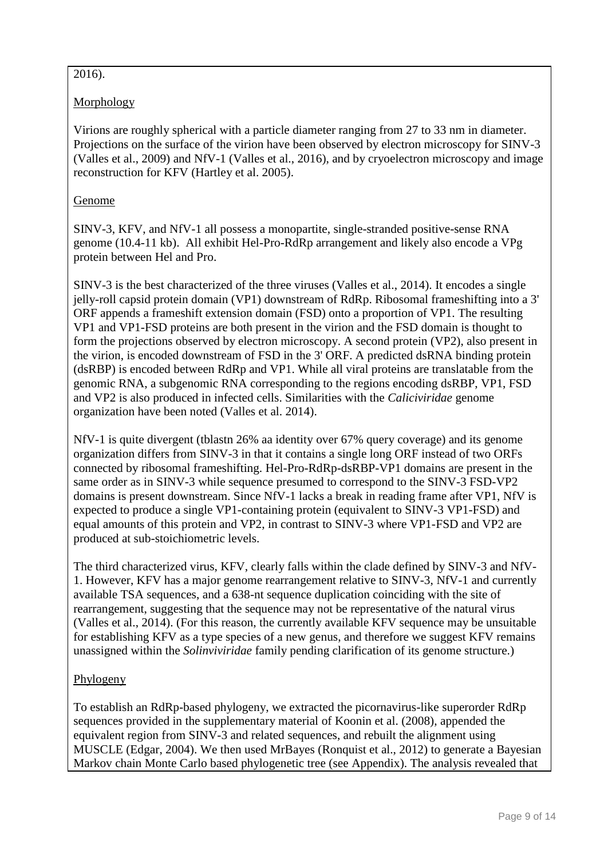# $\overline{2016}$ .

# Morphology

Virions are roughly spherical with a particle diameter ranging from 27 to 33 nm in diameter. Projections on the surface of the virion have been observed by electron microscopy for SINV-3 (Valles et al., 2009) and NfV-1 (Valles et al., 2016), and by cryoelectron microscopy and image reconstruction for KFV (Hartley et al. 2005).

# Genome

SINV-3, KFV, and NfV-1 all possess a monopartite, single-stranded positive-sense RNA genome (10.4-11 kb). All exhibit Hel-Pro-RdRp arrangement and likely also encode a VPg protein between Hel and Pro.

SINV-3 is the best characterized of the three viruses (Valles et al., 2014). It encodes a single jelly-roll capsid protein domain (VP1) downstream of RdRp. Ribosomal frameshifting into a 3' ORF appends a frameshift extension domain (FSD) onto a proportion of VP1. The resulting VP1 and VP1-FSD proteins are both present in the virion and the FSD domain is thought to form the projections observed by electron microscopy. A second protein (VP2), also present in the virion, is encoded downstream of FSD in the 3' ORF. A predicted dsRNA binding protein (dsRBP) is encoded between RdRp and VP1. While all viral proteins are translatable from the genomic RNA, a subgenomic RNA corresponding to the regions encoding dsRBP, VP1, FSD and VP2 is also produced in infected cells. Similarities with the *Caliciviridae* genome organization have been noted (Valles et al. 2014).

NfV-1 is quite divergent (tblastn 26% aa identity over 67% query coverage) and its genome organization differs from SINV-3 in that it contains a single long ORF instead of two ORFs connected by ribosomal frameshifting. Hel-Pro-RdRp-dsRBP-VP1 domains are present in the same order as in SINV-3 while sequence presumed to correspond to the SINV-3 FSD-VP2 domains is present downstream. Since NfV-1 lacks a break in reading frame after VP1, NfV is expected to produce a single VP1-containing protein (equivalent to SINV-3 VP1-FSD) and equal amounts of this protein and VP2, in contrast to SINV-3 where VP1-FSD and VP2 are produced at sub-stoichiometric levels.

The third characterized virus, KFV, clearly falls within the clade defined by SINV-3 and NfV-1. However, KFV has a major genome rearrangement relative to SINV-3, NfV-1 and currently available TSA sequences, and a 638-nt sequence duplication coinciding with the site of rearrangement, suggesting that the sequence may not be representative of the natural virus (Valles et al., 2014). (For this reason, the currently available KFV sequence may be unsuitable for establishing KFV as a type species of a new genus, and therefore we suggest KFV remains unassigned within the *Solinviviridae* family pending clarification of its genome structure.)

# Phylogeny

To establish an RdRp-based phylogeny, we extracted the picornavirus-like superorder RdRp sequences provided in the supplementary material of Koonin et al. (2008), appended the equivalent region from SINV-3 and related sequences, and rebuilt the alignment using MUSCLE (Edgar, 2004). We then used MrBayes (Ronquist et al., 2012) to generate a Bayesian Markov chain Monte Carlo based phylogenetic tree (see Appendix). The analysis revealed that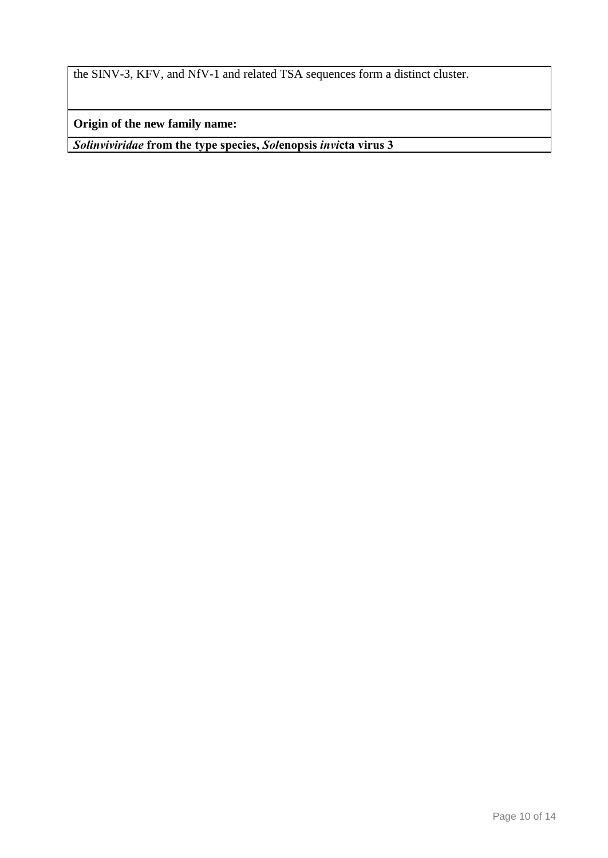the SINV-3, KFV, and NfV-1 and related TSA sequences form a distinct cluster.

**Origin of the new family name:**

*Solinviviridae* **from the type species,** *Sol***enopsis** *invi***cta virus 3**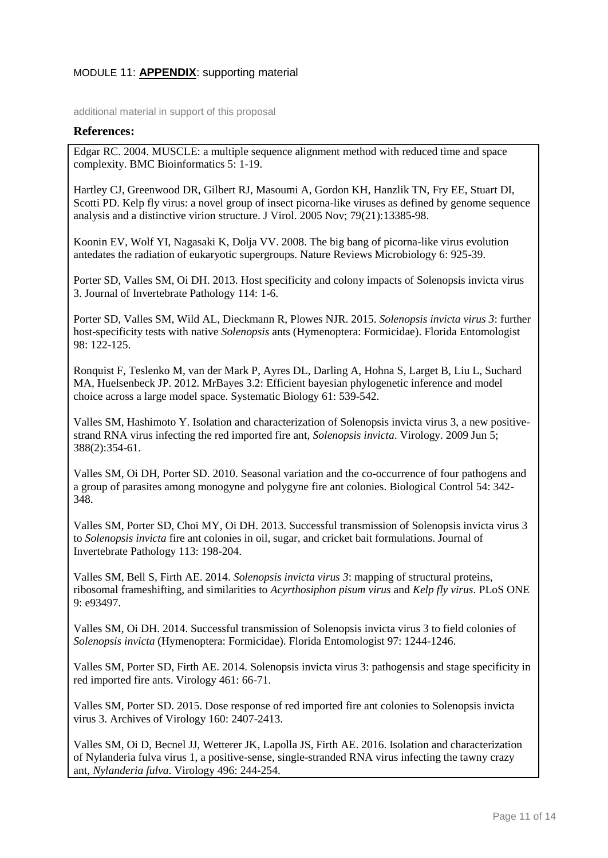## MODULE 11: **APPENDIX**: supporting material

additional material in support of this proposal

#### **References:**

Edgar RC. 2004. MUSCLE: a multiple sequence alignment method with reduced time and space complexity. BMC Bioinformatics 5: 1-19.

Hartley CJ, Greenwood DR, Gilbert RJ, Masoumi A, Gordon KH, Hanzlik TN, Fry EE, Stuart DI, Scotti PD. Kelp fly virus: a novel group of insect picorna-like viruses as defined by genome sequence analysis and a distinctive virion structure. J Virol. 2005 Nov; 79(21):13385-98.

Koonin EV, Wolf YI, Nagasaki K, Dolja VV. 2008. The big bang of picorna-like virus evolution antedates the radiation of eukaryotic supergroups. Nature Reviews Microbiology 6: 925-39.

Porter SD, Valles SM, Oi DH. 2013. Host specificity and colony impacts of Solenopsis invicta virus 3. Journal of Invertebrate Pathology 114: 1-6.

Porter SD, Valles SM, Wild AL, Dieckmann R, Plowes NJR. 2015. *Solenopsis invicta virus 3*: further host-specificity tests with native *Solenopsis* ants (Hymenoptera: Formicidae). Florida Entomologist 98: 122-125.

Ronquist F, Teslenko M, van der Mark P, Ayres DL, Darling A, Hohna S, Larget B, Liu L, Suchard MA, Huelsenbeck JP. 2012. MrBayes 3.2: Efficient bayesian phylogenetic inference and model choice across a large model space. Systematic Biology 61: 539-542.

Valles SM, Hashimoto Y. Isolation and characterization of Solenopsis invicta virus 3, a new positivestrand RNA virus infecting the red imported fire ant, *Solenopsis invicta*. Virology. 2009 Jun 5; 388(2):354-61.

Valles SM, Oi DH, Porter SD. 2010. Seasonal variation and the co-occurrence of four pathogens and a group of parasites among monogyne and polygyne fire ant colonies. Biological Control 54: 342- 348.

Valles SM, Porter SD, Choi MY, Oi DH. 2013. Successful transmission of Solenopsis invicta virus 3 to *Solenopsis invicta* fire ant colonies in oil, sugar, and cricket bait formulations. Journal of Invertebrate Pathology 113: 198-204.

Valles SM, Bell S, Firth AE. 2014. *Solenopsis invicta virus 3*: mapping of structural proteins, ribosomal frameshifting, and similarities to *Acyrthosiphon pisum virus* and *Kelp fly virus*. PLoS ONE 9: e93497.

Valles SM, Oi DH. 2014. Successful transmission of Solenopsis invicta virus 3 to field colonies of *Solenopsis invicta* (Hymenoptera: Formicidae). Florida Entomologist 97: 1244-1246.

Valles SM, Porter SD, Firth AE. 2014. Solenopsis invicta virus 3: pathogensis and stage specificity in red imported fire ants. Virology 461: 66-71.

Valles SM, Porter SD. 2015. Dose response of red imported fire ant colonies to Solenopsis invicta virus 3. Archives of Virology 160: 2407-2413.

Valles SM, Oi D, Becnel JJ, Wetterer JK, Lapolla JS, Firth AE. 2016. Isolation and characterization of Nylanderia fulva virus 1, a positive-sense, single-stranded RNA virus infecting the tawny crazy ant, *Nylanderia fulva*. Virology 496: 244-254.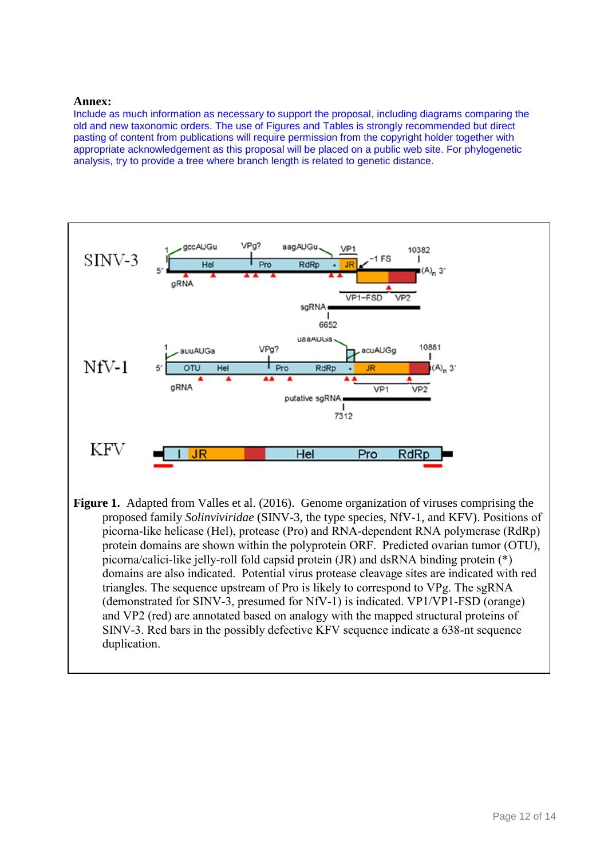#### **Annex:**

Include as much information as necessary to support the proposal, including diagrams comparing the old and new taxonomic orders. The use of Figures and Tables is strongly recommended but direct pasting of content from publications will require permission from the copyright holder together with appropriate acknowledgement as this proposal will be placed on a public web site. For phylogenetic analysis, try to provide a tree where branch length is related to genetic distance.

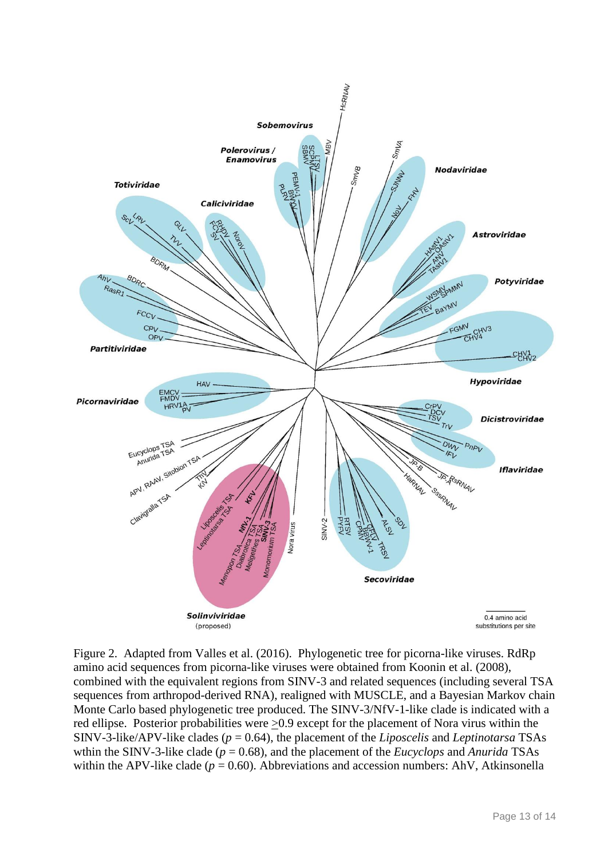

Figure 2. Adapted from Valles et al. (2016). Phylogenetic tree for picorna-like viruses. RdRp amino acid sequences from picorna-like viruses were obtained from Koonin et al. (2008), combined with the equivalent regions from SINV-3 and related sequences (including several TSA sequences from arthropod-derived RNA), realigned with MUSCLE, and a Bayesian Markov chain Monte Carlo based phylogenetic tree produced. The SINV-3/NfV-1-like clade is indicated with a red ellipse. Posterior probabilities were  $\geq 0.9$  except for the placement of Nora virus within the SINV-3-like/APV-like clades (*p* = 0.64), the placement of the *Liposcelis* and *Leptinotarsa* TSAs wthin the SINV-3-like clade (*p* = 0.68), and the placement of the *Eucyclops* and *Anurida* TSAs within the APV-like clade ( $p = 0.60$ ). Abbreviations and accession numbers: AhV, Atkinsonella